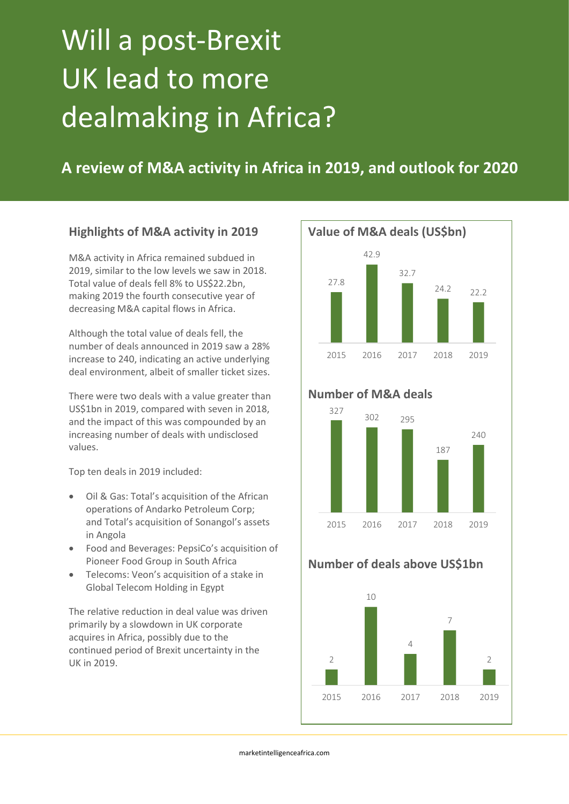# Will a post-Brexit UK lead to more dealmaking in Africa?

**A review of M&A activity in Africa in 2019, and outlook for 2020**

## **Highlights of M&A activity in 2019**

M&A activity in Africa remained subdued in 2019, similar to the low levels we saw in 2018. Total value of deals fell 8% to US\$22.2bn, making 2019 the fourth consecutive year of decreasing M&A capital flows in Africa.

Although the total value of deals fell, the number of deals announced in 2019 saw a 28% increase to 240, indicating an active underlying deal environment, albeit of smaller ticket sizes.

There were two deals with a value greater than US\$1bn in 2019, compared with seven in 2018, and the impact of this was compounded by an increasing number of deals with undisclosed values.

Top ten deals in 2019 included:

- Oil & Gas: Total's acquisition of the African operations of Andarko Petroleum Corp; and Total's acquisition of Sonangol's assets in Angola
- Food and Beverages: PepsiCo's acquisition of Pioneer Food Group in South Africa
- Telecoms: Veon's acquisition of a stake in Global Telecom Holding in Egypt

The relative reduction in deal value was driven primarily by a slowdown in UK corporate acquires in Africa, possibly due to the continued period of Brexit uncertainty in the UK in 2019.



# **Number of M&A deals**



# **Number of deals above US\$1bn**

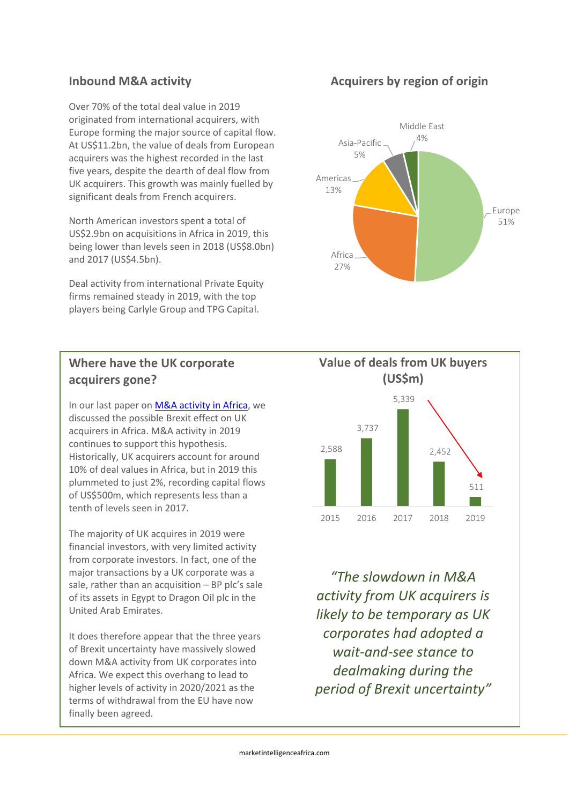Over 70% of the total deal value in 2019 originated from international acquirers, with Europe forming the major source of capital flow. At US\$11.2bn, the value of deals from European acquirers was the highest recorded in the last five years, despite the dearth of deal flow from UK acquirers. This growth was mainly fuelled by significant deals from French acquirers.

North American investors spent a total of US\$2.9bn on acquisitions in Africa in 2019, this being lower than levels seen in 2018 (US\$8.0bn) and 2017 (US\$4.5bn).

Deal activity from international Private Equity firms remained steady in 2019, with the top players being Carlyle Group and TPG Capital.



In our last paper on [M&A activity in Africa,](https://8f7e5883-6faf-4a29-b9d3-734e33b9125a.filesusr.com/ugd/57d7b5_1449cb0784ef4f7f92332b37f5c3fbd5.pdf) we discussed the possible Brexit effect on UK acquirers in Africa. M&A activity in 2019 continues to support this hypothesis. Historically, UK acquirers account for around 10% of deal values in Africa, but in 2019 this plummeted to just 2%, recording capital flows of US\$500m, which represents less than a tenth of levels seen in 2017.

The majority of UK acquires in 2019 were financial investors, with very limited activity from corporate investors. In fact, one of the major transactions by a UK corporate was a sale, rather than an acquisition – BP plc's sale of its assets in Egypt to Dragon Oil plc in the United Arab Emirates.

It does therefore appear that the three years of Brexit uncertainty have massively slowed down M&A activity from UK corporates into Africa. We expect this overhang to lead to higher levels of activity in 2020/2021 as the terms of withdrawal from the EU have now finally been agreed.







*"The slowdown in M&A activity from UK acquirers is likely to be temporary as UK corporates had adopted a wait-and-see stance to dealmaking during the period of Brexit uncertainty"*